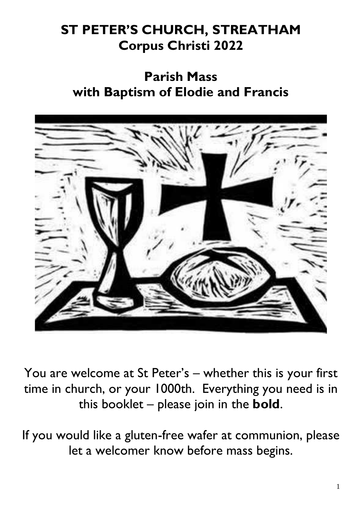## **ST PETER'S CHURCH, STREATHAM Corpus Christi 2022**

## **Parish Mass with Baptism of Elodie and Francis**



You are welcome at St Peter's – whether this is your first time in church, or your 1000th. Everything you need is in this booklet – please join in the **bold**.

If you would like a gluten-free wafer at communion, please let a welcomer know before mass begins.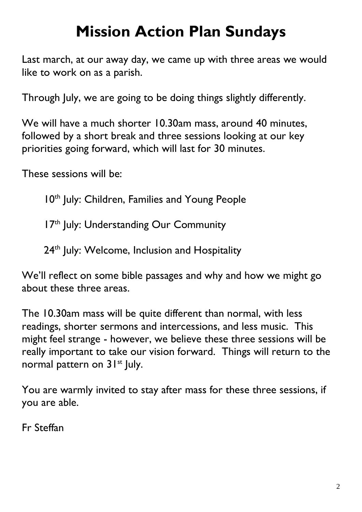# **Mission Action Plan Sundays**

Last march, at our away day, we came up with three areas we would like to work on as a parish.

Through July, we are going to be doing things slightly differently.

We will have a much shorter 10.30am mass, around 40 minutes, followed by a short break and three sessions looking at our key priorities going forward, which will last for 30 minutes.

These sessions will be:

10<sup>th</sup> July: Children, Families and Young People

17<sup>th</sup> July: Understanding Our Community

24<sup>th</sup> July: Welcome, Inclusion and Hospitality

We'll reflect on some bible passages and why and how we might go about these three areas.

The 10.30am mass will be quite different than normal, with less readings, shorter sermons and intercessions, and less music. This might feel strange - however, we believe these three sessions will be really important to take our vision forward. Things will return to the normal pattern on 31<sup>st</sup> July.

You are warmly invited to stay after mass for these three sessions, if you are able.

Fr Steffan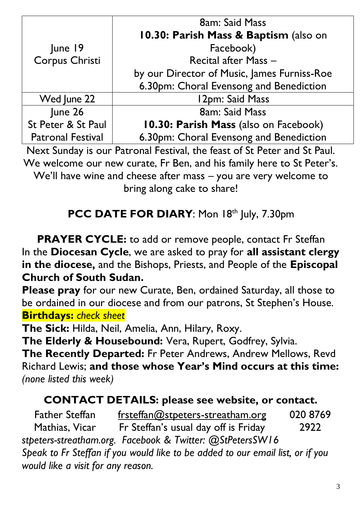|                                                                               | <b>8am: Said Mass</b>                       |  |
|-------------------------------------------------------------------------------|---------------------------------------------|--|
|                                                                               | 10.30: Parish Mass & Baptism (also on       |  |
| June 19                                                                       | Facebook)                                   |  |
| Corpus Christi                                                                | Recital after Mass -                        |  |
|                                                                               | by our Director of Music, James Furniss-Roe |  |
|                                                                               | 6.30pm: Choral Evensong and Benediction     |  |
| Wed June 22                                                                   | 12pm: Said Mass                             |  |
| June 26                                                                       | <b>8am: Said Mass</b>                       |  |
| St Peter & St Paul                                                            | 10.30: Parish Mass (also on Facebook)       |  |
| <b>Patronal Festival</b>                                                      | 6.30pm: Choral Evensong and Benediction     |  |
| Next Sunday is our Patronal Festival, the feast of St Peter and St Paul.      |                                             |  |
| We welcome our new curate, Fr Ben, and his family here to St Peter's.         |                                             |  |
| M/2 <sup>9</sup> ll have wing and abance often mean wing and community and to |                                             |  |

We'll have wine and cheese after mass – you are very welcome to bring along cake to share!

## PCC DATE FOR DIARY: Mon 18th July, 7.30pm

**PRAYER CYCLE:** to add or remove people, contact Fr Steffan In the **Diocesan Cycle**, we are asked to pray for **all assistant clergy in the diocese,** and the Bishops, Priests, and People of the **Episcopal Church of South Sudan.**

**Please pray** for our new Curate, Ben, ordained Saturday, all those to be ordained in our diocese and from our patrons, St Stephen's House. **Birthdays:** *check sheet*

**The Sick:** Hilda, Neil, Amelia, Ann, Hilary, Roxy.

**The Elderly & Housebound:** Vera, Rupert, Godfrey, Sylvia.

**The Recently Departed:** Fr Peter Andrews, Andrew Mellows, Revd Richard Lewis; **and those whose Year's Mind occurs at this time:**  *(none listed this week)*

## **CONTACT DETAILS: please see website, or contact.**

*stpeters-streatham.org. Facebook & Twitter: @StPetersSW16 Speak to Fr Steffan if you would like to be added to our email list, or if you would like a visit for any reason.* Father Steffan Mathias, Vicar [frsteffan@stpeters-streatham.org](mailto:frsteffan@stpeters-streatham.org) Fr Steffan's usual day off is Friday 020 8769 2922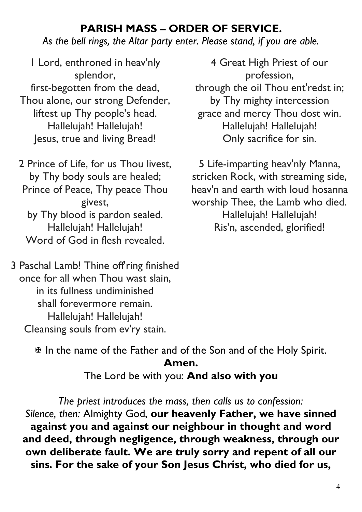## **PARISH MASS – ORDER OF SERVICE.**

*As the bell rings, the Altar party enter. Please stand, if you are able.*

1 Lord, enthroned in heav'nly splendor, first-begotten from the dead, Thou alone, our strong Defender, liftest up Thy people's head. Hallelujah! Hallelujah! Jesus, true and living Bread!

2 Prince of Life, for us Thou livest, by Thy body souls are healed; Prince of Peace, Thy peace Thou givest, by Thy blood is pardon sealed. Hallelujah! Hallelujah! Word of God in flesh revealed.

3 Paschal Lamb! Thine off ring finished once for all when Thou wast slain, in its fullness undiminished shall forevermore remain. Hallelujah! Hallelujah! Cleansing souls from ev'ry stain.

4 Great High Priest of our profession, through the oil Thou ent'redst in; by Thy mighty intercession grace and mercy Thou dost win. Hallelujah! Hallelujah! Only sacrifice for sin.

5 Life-imparting heav'nly Manna, stricken Rock, with streaming side, heav'n and earth with loud hosanna worship Thee, the Lamb who died. Hallelujah! Hallelujah! Ris'n, ascended, glorified!

 In the name of the Father and of the Son and of the Holy Spirit. **Amen.**  The Lord be with you: **And also with you**

*The priest introduces the mass, then calls us to confession: Silence, then:* Almighty God, **our heavenly Father, we have sinned against you and against our neighbour in thought and word and deed, through negligence, through weakness, through our own deliberate fault. We are truly sorry and repent of all our sins. For the sake of your Son Jesus Christ, who died for us,**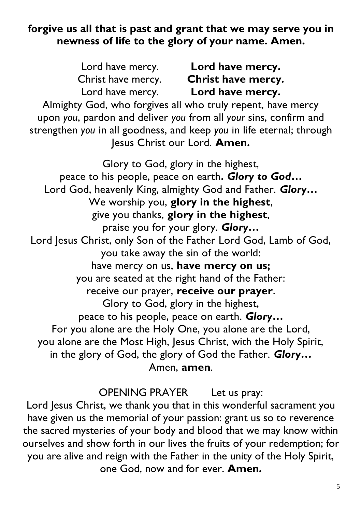#### **forgive us all that is past and grant that we may serve you in newness of life to the glory of your name. Amen.**

| Lord have mercy.<br>Lord have mercy.<br>Christ have mercy. Christ have mercy.<br>Lord have mercy. Lord have mercy.<br>Almighty God, who forgives all who truly repent, have mercy<br>upon you, pardon and deliver you from all your sins, confirm and<br>strengthen you in all goodness, and keep you in life eternal; through<br>Jesus Christ our Lord. Amen. |  |  |  |  |
|----------------------------------------------------------------------------------------------------------------------------------------------------------------------------------------------------------------------------------------------------------------------------------------------------------------------------------------------------------------|--|--|--|--|
| Glory to God, glory in the highest,                                                                                                                                                                                                                                                                                                                            |  |  |  |  |
| peace to his people, peace on earth. Glory to God                                                                                                                                                                                                                                                                                                              |  |  |  |  |
| Lord God, heavenly King, almighty God and Father. Glory                                                                                                                                                                                                                                                                                                        |  |  |  |  |
| We worship you, glory in the highest,                                                                                                                                                                                                                                                                                                                          |  |  |  |  |
| give you thanks, glory in the highest,                                                                                                                                                                                                                                                                                                                         |  |  |  |  |
| praise you for your glory. Glory                                                                                                                                                                                                                                                                                                                               |  |  |  |  |
| Lord Jesus Christ, only Son of the Father Lord God, Lamb of God,                                                                                                                                                                                                                                                                                               |  |  |  |  |
| you take away the sin of the world:                                                                                                                                                                                                                                                                                                                            |  |  |  |  |
| have mercy on us, have mercy on us;                                                                                                                                                                                                                                                                                                                            |  |  |  |  |
| you are seated at the right hand of the Father:                                                                                                                                                                                                                                                                                                                |  |  |  |  |
| receive our prayer, receive our prayer.                                                                                                                                                                                                                                                                                                                        |  |  |  |  |
| Glory to God, glory in the highest,                                                                                                                                                                                                                                                                                                                            |  |  |  |  |
| peace to his people, peace on earth. Glory                                                                                                                                                                                                                                                                                                                     |  |  |  |  |
| For you alone are the Holy One, you alone are the Lord,                                                                                                                                                                                                                                                                                                        |  |  |  |  |
| you alone are the Most High, Jesus Christ, with the Holy Spirit,                                                                                                                                                                                                                                                                                               |  |  |  |  |
| in the glory of God, the glory of God the Father. Glory                                                                                                                                                                                                                                                                                                        |  |  |  |  |
|                                                                                                                                                                                                                                                                                                                                                                |  |  |  |  |

Amen, **amen**.

OPENING PRAYER Let us pray:

Lord Jesus Christ, we thank you that in this wonderful sacrament you have given us the memorial of your passion: grant us so to reverence the sacred mysteries of your body and blood that we may know within ourselves and show forth in our lives the fruits of your redemption; for you are alive and reign with the Father in the unity of the Holy Spirit, one God, now and for ever. **Amen.**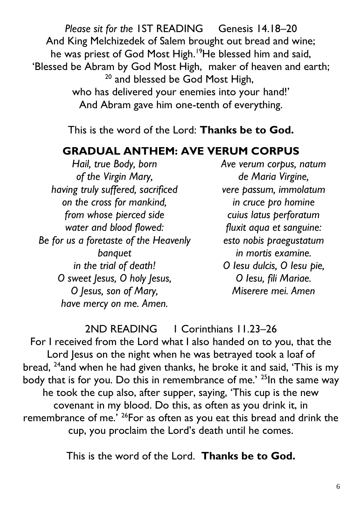*Please sit for the* IST READING Genesis 14.18-20 And King Melchizedek of Salem brought out bread and wine; he was priest of God Most High.<sup>19</sup>He blessed him and said, 'Blessed be Abram by God Most High, maker of heaven and earth; <sup>20</sup> and blessed be God Most High, who has delivered your enemies into your hand!' And Abram gave him one-tenth of everything.

This is the word of the Lord: **Thanks be to God.**

## **GRADUAL ANTHEM: AVE VERUM CORPUS**

*Hail, true Body, born of the Virgin Mary, having truly suffered, sacrificed on the cross for mankind, from whose pierced side water and blood flowed: Be for us a foretaste of the Heavenly banquet in the trial of death! O sweet Jesus, O holy Jesus, O Jesus, son of Mary, have mercy on me. Amen.*

*Ave verum corpus, natum de Maria Virgine, vere passum, immolatum in cruce pro homine cuius latus perforatum fluxit aqua et sanguine: esto nobis praegustatum in mortis examine. O Iesu dulcis, O Iesu pie, O Iesu, fili Mariae. Miserere mei. Amen*

2ND READING 1 Corinthians 11.23–26

For I received from the Lord what I also handed on to you, that the Lord Jesus on the night when he was betrayed took a loaf of bread, <sup>24</sup>and when he had given thanks, he broke it and said, 'This is my body that is for you. Do this in remembrance of me.' <sup>25</sup>In the same way he took the cup also, after supper, saying, 'This cup is the new covenant in my blood. Do this, as often as you drink it, in remembrance of me.' <sup>26</sup>For as often as you eat this bread and drink the cup, you proclaim the Lord's death until he comes.

This is the word of the Lord. **Thanks be to God.**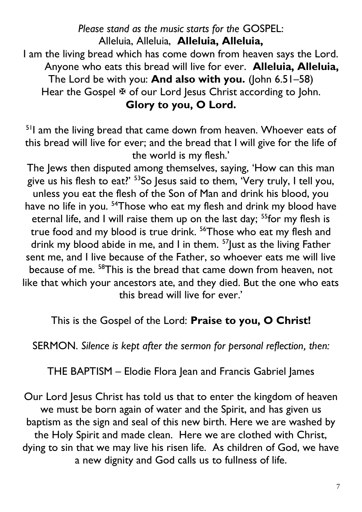*Please stand as the music starts for the* GOSPEL: Alleluia, Alleluia, **Alleluia, Alleluia,** I am the living bread which has come down from heaven says the Lord. Anyone who eats this bread will live for ever. **Alleluia, Alleluia,**  The Lord be with you: **And also with you.** (John 6.51–58) Hear the Gospel  $\overline{\mathfrak{B}}$  of our Lord Jesus Christ according to John. **Glory to you, O Lord.**

<sup>51</sup>I am the living bread that came down from heaven. Whoever eats of this bread will live for ever; and the bread that I will give for the life of the world is my flesh.'

The Jews then disputed among themselves, saying, 'How can this man give us his flesh to eat?' <sup>53</sup>So Jesus said to them, 'Very truly, I tell you, unless you eat the flesh of the Son of Man and drink his blood, you have no life in you.<sup>54</sup>Those who eat my flesh and drink my blood have eternal life, and I will raise them up on the last day; <sup>55</sup>for my flesh is true food and my blood is true drink. <sup>56</sup>Those who eat my flesh and drink my blood abide in me, and I in them.  $57$  Just as the living Father sent me, and I live because of the Father, so whoever eats me will live because of me. <sup>58</sup>This is the bread that came down from heaven, not like that which your ancestors ate, and they died. But the one who eats this bread will live for ever.'

This is the Gospel of the Lord: **Praise to you, O Christ!**

SERMON. *Silence is kept after the sermon for personal reflection, then:*

THE BAPTISM – Elodie Flora Jean and Francis Gabriel James

Our Lord Jesus Christ has told us that to enter the kingdom of heaven we must be born again of water and the Spirit, and has given us baptism as the sign and seal of this new birth. Here we are washed by the Holy Spirit and made clean. Here we are clothed with Christ, dying to sin that we may live his risen life. As children of God, we have a new dignity and God calls us to fullness of life.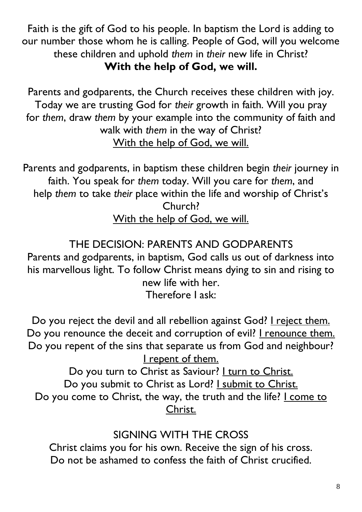Faith is the gift of God to his people. In baptism the Lord is adding to our number those whom he is calling. People of God, will you welcome these children and uphold *them* in *their* new life in Christ? **With the help of God, we will.**

Parents and godparents, the Church receives these children with joy. Today we are trusting God for *their* growth in faith. Will you pray for *them*, draw *them* by your example into the community of faith and walk with *them* in the way of Christ? With the help of God, we will.

Parents and godparents, in baptism these children begin *their* journey in faith. You speak for *them* today. Will you care for *them*, and help *them* to take *their* place within the life and worship of Christ's Church? With the help of God, we will.

## THE DECISION: PARENTS AND GODPARENTS

Parents and godparents, in baptism, God calls us out of darkness into his marvellous light. To follow Christ means dying to sin and rising to new life with her.

Therefore I ask:

Do you reject the devil and all rebellion against God? I reject them. Do you renounce the deceit and corruption of evil? I renounce them. Do you repent of the sins that separate us from God and neighbour? I repent of them.

Do you turn to Christ as Saviour? I turn to Christ. Do you submit to Christ as Lord? I submit to Christ. Do you come to Christ, the way, the truth and the life? I come to Christ.

## SIGNING WITH THE CROSS

Christ claims you for his own. Receive the sign of his cross. Do not be ashamed to confess the faith of Christ crucified.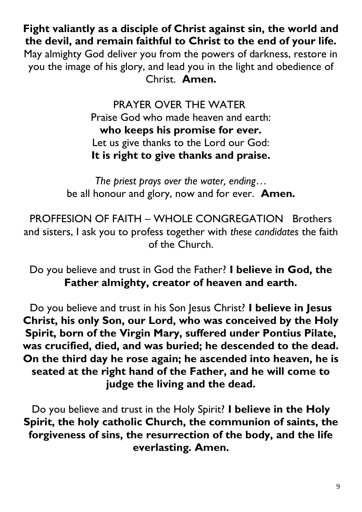**Fight valiantly as a disciple of Christ against sin, the world and the devil, and remain faithful to Christ to the end of your life.** May almighty God deliver you from the powers of darkness, restore in you the image of his glory, and lead you in the light and obedience of Christ. **Amen.**

> PRAYER OVER THE WATER Praise God who made heaven and earth: **who keeps his promise for ever.** Let us give thanks to the Lord our God: **It is right to give thanks and praise.**

*The priest prays over the water, ending*… be all honour and glory, now and for ever. **Amen.**

PROFFESION OF FAITH – WHOLE CONGREGATION Brothers and sisters, I ask you to profess together with *these candidates* the faith of the Church.

Do you believe and trust in God the Father? **I believe in God, the Father almighty, creator of heaven and earth.**

Do you believe and trust in his Son Jesus Christ? **I believe in Jesus Christ, his only Son, our Lord, who was conceived by the Holy Spirit, born of the Virgin Mary, suffered under Pontius Pilate, was crucified, died, and was buried; he descended to the dead. On the third day he rose again; he ascended into heaven, he is seated at the right hand of the Father, and he will come to judge the living and the dead.**

Do you believe and trust in the Holy Spirit? **I believe in the Holy Spirit, the holy catholic Church, the communion of saints, the forgiveness of sins, the resurrection of the body, and the life everlasting. Amen.**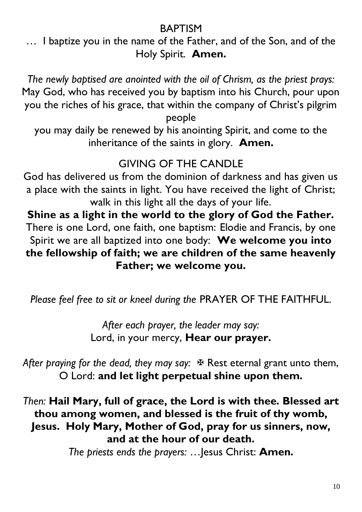#### BAPTISM

… I baptize you in the name of the Father, and of the Son, and of the Holy Spirit. **Amen.**

*The newly baptised are anointed with the oil of Chrism, as the priest prays:*  May God, who has received you by baptism into his Church, pour upon you the riches of his grace, that within the company of Christ's pilgrim people

you may daily be renewed by his anointing Spirit, and come to the inheritance of the saints in glory. **Amen.**

## GIVING OF THE CANDLE

God has delivered us from the dominion of darkness and has given us a place with the saints in light. You have received the light of Christ; walk in this light all the days of your life.

**Shine as a light in the world to the glory of God the Father.** There is one Lord, one faith, one baptism: Elodie and Francis, by one Spirit we are all baptized into one body: **We welcome you into the fellowship of faith; we are children of the same heavenly Father; we welcome you.**

*Please feel free to sit or kneel during the* PRAYER OF THE FAITHFUL.

*After each prayer, the leader may say:* Lord, in your mercy, **Hear our prayer.**

After praying for the dead, they may say:  $\mathbb F$  Rest eternal grant unto them, O Lord: **and let light perpetual shine upon them.**

*Then:* **Hail Mary, full of grace, the Lord is with thee. Blessed art thou among women, and blessed is the fruit of thy womb, Jesus. Holy Mary, Mother of God, pray for us sinners, now, and at the hour of our death.**

*The priests ends the prayers:* …Jesus Christ: **Amen.**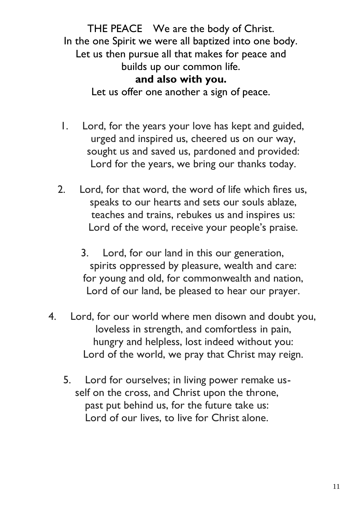THE PEACE We are the body of Christ. In the one Spirit we were all baptized into one body. Let us then pursue all that makes for peace and builds up our common life. **and also with you.**

Let us offer one another a sign of peace.

- 1. Lord, for the years your love has kept and guided, urged and inspired us, cheered us on our way, sought us and saved us, pardoned and provided: Lord for the years, we bring our thanks today.
- 2. Lord, for that word, the word of life which fires us, speaks to our hearts and sets our souls ablaze, teaches and trains, rebukes us and inspires us: Lord of the word, receive your people's praise.
	- 3. Lord, for our land in this our generation, spirits oppressed by pleasure, wealth and care: for young and old, for commonwealth and nation, Lord of our land, be pleased to hear our prayer.
- 4. Lord, for our world where men disown and doubt you, loveless in strength, and comfortless in pain, hungry and helpless, lost indeed without you: Lord of the world, we pray that Christ may reign.
	- 5. Lord for ourselves; in living power remake usself on the cross, and Christ upon the throne, past put behind us, for the future take us: Lord of our lives, to live for Christ alone.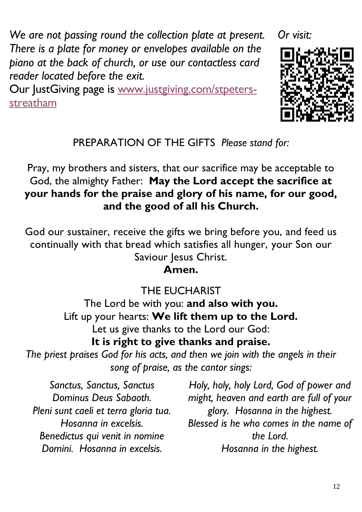*We are not passing round the collection plate at present. There is a plate for money or envelopes available on the piano at the back of church, or use our contactless card reader located before the exit.*

Our JustGiving page is www.justgiving.com/stpetersstreatham

*Or visit:*



PREPARATION OF THE GIFTS *Please stand for:*

Pray, my brothers and sisters, that our sacrifice may be acceptable to God, the almighty Father: **May the Lord accept the sacrifice at your hands for the praise and glory of his name, for our good, and the good of all his Church.**

God our sustainer, receive the gifts we bring before you, and feed us continually with that bread which satisfies all hunger, your Son our Saviour Jesus Christ.

#### **Amen.**

THE EUCHARIST The Lord be with you: **and also with you.** Lift up your hearts: **We lift them up to the Lord.** Let us give thanks to the Lord our God: **It is right to give thanks and praise.**

*The priest praises God for his acts, and then we join with the angels in their song of praise, as the cantor sings:*

*Sanctus, Sanctus, Sanctus Dominus Deus Sabaoth. Pleni sunt caeli et terra gloria tua. Hosanna in excelsis. Benedictus qui venit in nomine Domini. Hosanna in excelsis.*

*Holy, holy, holy Lord, God of power and might, heaven and earth are full of your glory. Hosanna in the highest. Blessed is he who comes in the name of the Lord. Hosanna in the highest.*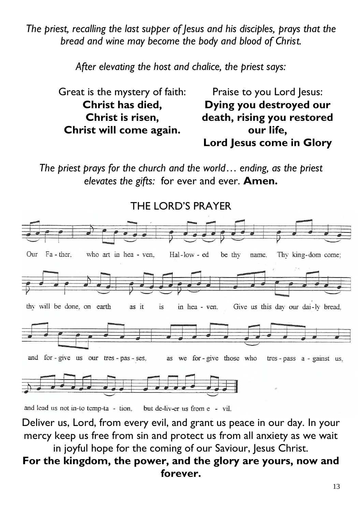*The priest, recalling the last supper of Jesus and his disciples, prays that the bread and wine may become the body and blood of Christ.*

*After elevating the host and chalice, the priest says:*

| Great is the mystery of faith: | Praise to you Lord Jesus:  |
|--------------------------------|----------------------------|
| Christ has died,               | Dying you destroyed our    |
| Christ is risen,               | death, rising you restored |
| Christ will come again.        | our life.                  |
|                                | Lord Jesus come in Glory   |

*The priest prays for the church and the world*… *ending, as the priest elevates the gifts:* for ever and ever. **Amen.**



and lead us not in-to temp-ta - tion. but de-liv-er us from e - vil.

Deliver us, Lord, from every evil, and grant us peace in our day. In your mercy keep us free from sin and protect us from all anxiety as we wait

#### in joyful hope for the coming of our Saviour, Jesus Christ. **For the kingdom, the power, and the glory are yours, now and forever.**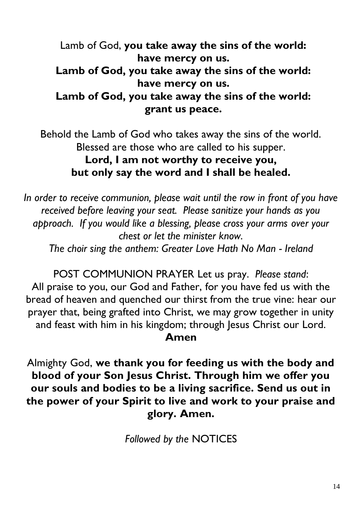Lamb of God, **you take away the sins of the world: have mercy on us. Lamb of God, you take away the sins of the world: have mercy on us. Lamb of God, you take away the sins of the world: grant us peace.**

Behold the Lamb of God who takes away the sins of the world. Blessed are those who are called to his supper. **Lord, I am not worthy to receive you, but only say the word and I shall be healed.**

*In order to receive communion, please wait until the row in front of you have received before leaving your seat. Please sanitize your hands as you approach. If you would like a blessing, please cross your arms over your chest or let the minister know.* 

*The choir sing the anthem: Greater Love Hath No Man - Ireland*

POST COMMUNION PRAYER Let us pray. *Please stand*: All praise to you, our God and Father, for you have fed us with the bread of heaven and quenched our thirst from the true vine: hear our prayer that, being grafted into Christ, we may grow together in unity and feast with him in his kingdom; through Jesus Christ our Lord.

#### **Amen**

Almighty God, **we thank you for feeding us with the body and blood of your Son Jesus Christ. Through him we offer you our souls and bodies to be a living sacrifice. Send us out in the power of your Spirit to live and work to your praise and glory. Amen.**

*Followed by the* NOTICES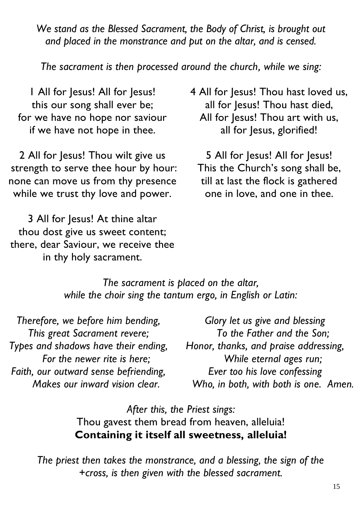*We stand as the Blessed Sacrament, the Body of Christ, is brought out and placed in the monstrance and put on the altar, and is censed.* 

*The sacrament is then processed around the church, while we sing:*

1 All for Jesus! All for Jesus! this our song shall ever be; for we have no hope nor saviour if we have not hope in thee.

2 All for Jesus! Thou wilt give us strength to serve thee hour by hour: none can move us from thy presence while we trust thy love and power.

3 All for Jesus! At thine altar thou dost give us sweet content; there, dear Saviour, we receive thee in thy holy sacrament.

4 All for Jesus! Thou hast loved us, all for Jesus! Thou hast died, All for Jesus! Thou art with us, all for Jesus, glorified!

5 All for Jesus! All for Jesus! This the Church's song shall be, till at last the flock is gathered one in love, and one in thee.

*The sacrament is placed on the altar, while the choir sing the tantum ergo, in English or Latin:*

*Therefore, we before him bending, This great Sacrament revere; Types and shadows have their ending, For the newer rite is here; Faith, our outward sense befriending, Makes our inward vision clear.*

*Glory let us give and blessing To the Father and the Son; Honor, thanks, and praise addressing, While eternal ages run; Ever too his love confessing Who, in both, with both is one. Amen.*

*After this, the Priest sings:*  Thou gavest them bread from heaven, alleluia! **Containing it itself all sweetness, alleluia!**

*The priest then takes the monstrance, and a blessing, the sign of the +cross, is then given with the blessed sacrament.*